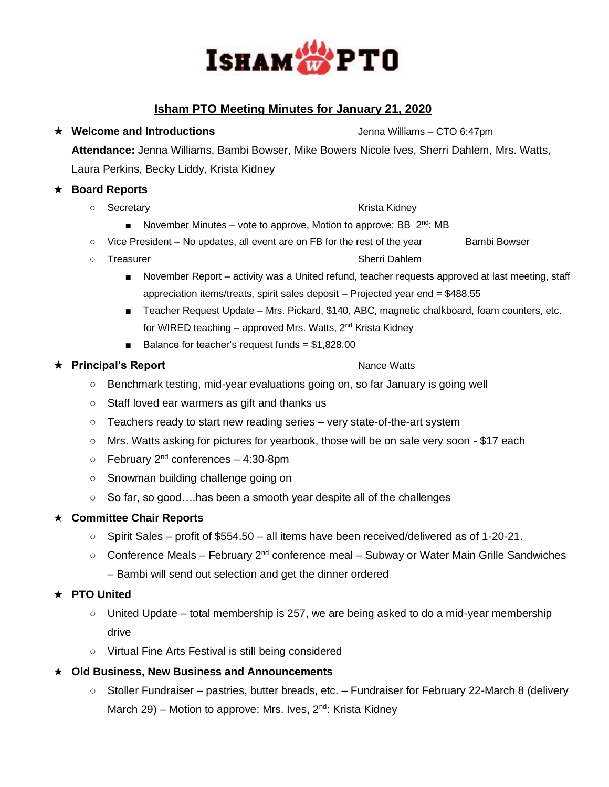

# **Isham PTO Meeting Minutes for January 21, 2020**

**★ Welcome and Introductions Jenna Williams – CTO 6:47pm Attendance:** Jenna Williams, Bambi Bowser, Mike Bowers Nicole Ives, Sherri Dahlem, Mrs. Watts, Laura Perkins, Becky Liddy, Krista Kidney

#### ★ **Board Reports**

○ Secretary Krista Kidney

- November Minutes vote to approve, Motion to approve: BB 2<sup>nd</sup>: MB
- Vice President No updates, all event are on FB for the rest of the year Bambi Bowser
- Treasurer Sherri Dahlem
	- November Report activity was a United refund, teacher requests approved at last meeting, staff appreciation items/treats, spirit sales deposit – Projected year end = \$488.55
	- Teacher Request Update Mrs. Pickard, \$140, ABC, magnetic chalkboard, foam counters, etc. for WIRED teaching – approved Mrs. Watts, 2<sup>nd</sup> Krista Kidney
	- Balance for teacher's request funds = \$1,828.00

## ★ **Principal's Report** 2000 and 2000 and 2000 and 2000 and 2000 and 2000 and 2000 and 2000 and 2000 and 2000 and 2000 and 2000 and 2000 and 2000 and 2000 and 2000 and 2000 and 2000 and 2000 and 2000 and 2000 and 2000 and

- Benchmark testing, mid-year evaluations going on, so far January is going well
- Staff loved ear warmers as gift and thanks us
- Teachers ready to start new reading series very state-of-the-art system
- Mrs. Watts asking for pictures for yearbook, those will be on sale very soon \$17 each
- $\circ$  February 2<sup>nd</sup> conferences 4:30-8pm
- Snowman building challenge going on
- So far, so good....has been a smooth year despite all of the challenges

## ★ **Committee Chair Reports**

- Spirit Sales profit of \$554.50 all items have been received/delivered as of 1-20-21.
- Conference Meals February 2nd conference meal Subway or Water Main Grille Sandwiches
	- Bambi will send out selection and get the dinner ordered

## ★ **PTO United**

- $\circ$  United Update total membership is 257, we are being asked to do a mid-year membership drive
- Virtual Fine Arts Festival is still being considered
- ★ **Old Business, New Business and Announcements**
	- Stoller Fundraiser pastries, butter breads, etc. Fundraiser for February 22-March 8 (delivery March 29) – Motion to approve: Mrs. Ives,  $2^{nd}$ : Krista Kidney